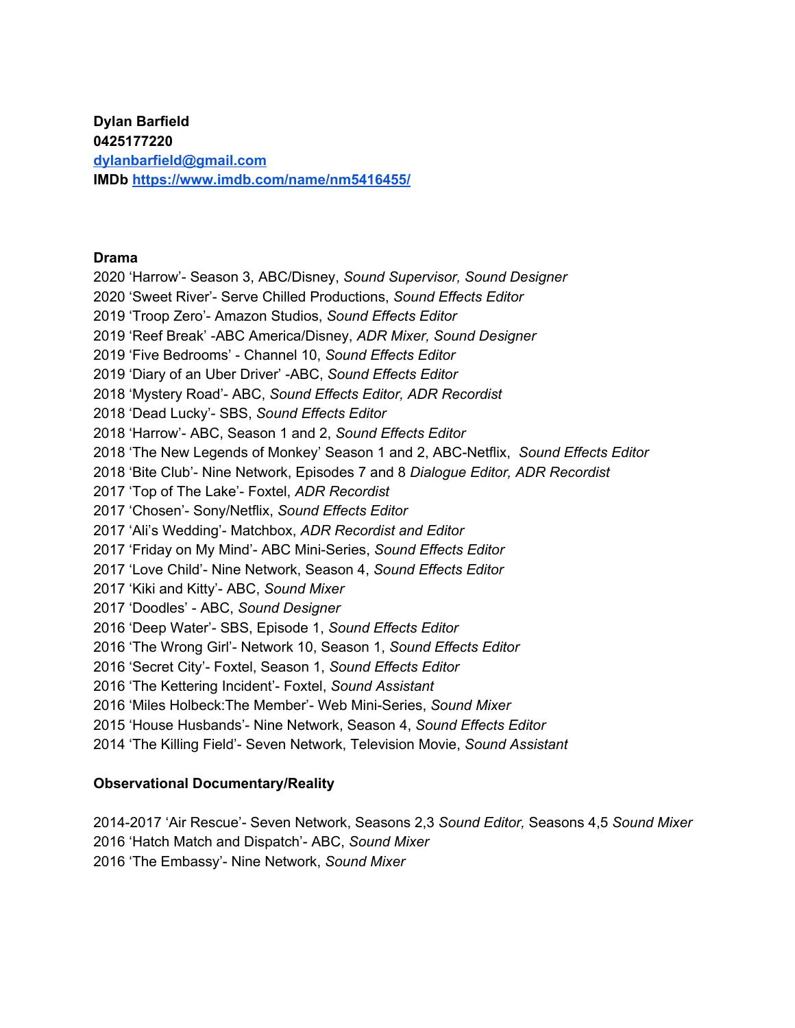**Dylan Barfield [dylanbarfield@gmail.com](mailto:dylanbarfield@gmail.com) IMDb <https://www.imdb.com/name/nm5416455/>**

#### **Drama**

 'Harrow'- Season 3, ABC/Disney, *Sound Supervisor, Sound Designer* 'Sweet River'- Serve Chilled Productions, *Sound Effects Editor* 'Troop Zero'- Amazon Studios, *Sound Effects Editor* 'Reef Break' -ABC America/Disney, *ADR Mixer, Sound Designer* 'Five Bedrooms' - Channel 10, *Sound Effects Editor* 'Diary of an Uber Driver' -ABC, *Sound Effects Editor* 'Mystery Road'- ABC, *Sound Effects Editor, ADR Recordist* 'Dead Lucky'- SBS, *Sound Effects Editor* 'Harrow'- ABC, Season 1 and 2, *Sound Effects Editor* 'The New Legends of Monkey' Season 1 and 2, ABC-Netflix, *Sound Effects Editor* 'Bite Club'- Nine Network, Episodes 7 and 8 *Dialogue Editor, ADR Recordist* 'Top of The Lake'- Foxtel, *ADR Recordist* 'Chosen'- Sony/Netflix, *Sound Effects Editor* 'Ali's Wedding'- Matchbox, *ADR Recordist and Editor* 'Friday on My Mind'- ABC Mini-Series, *Sound Effects Editor* 'Love Child'- Nine Network, Season 4, *Sound Effects Editor* 'Kiki and Kitty'- ABC, *Sound Mixer* 'Doodles' - ABC, *Sound Designer* 'Deep Water'- SBS, Episode 1, *Sound Effects Editor* 'The Wrong Girl'- Network 10, Season 1, *Sound Effects Editor* 'Secret City'- Foxtel, Season 1, *Sound Effects Editor* 'The Kettering Incident'- Foxtel, *Sound Assistant* 'Miles Holbeck:The Member'- Web Mini-Series, *Sound Mixer* 'House Husbands'- Nine Network, Season 4, *Sound Effects Editor* 'The Killing Field'- Seven Network, Television Movie, *Sound Assistant*

### **Observational Documentary/Reality**

2014-2017 'Air Rescue'- Seven Network, Seasons 2,3 *Sound Editor,* Seasons 4,5 *Sound Mixer* 'Hatch Match and Dispatch'- ABC, *Sound Mixer* 'The Embassy'- Nine Network, *Sound Mixer*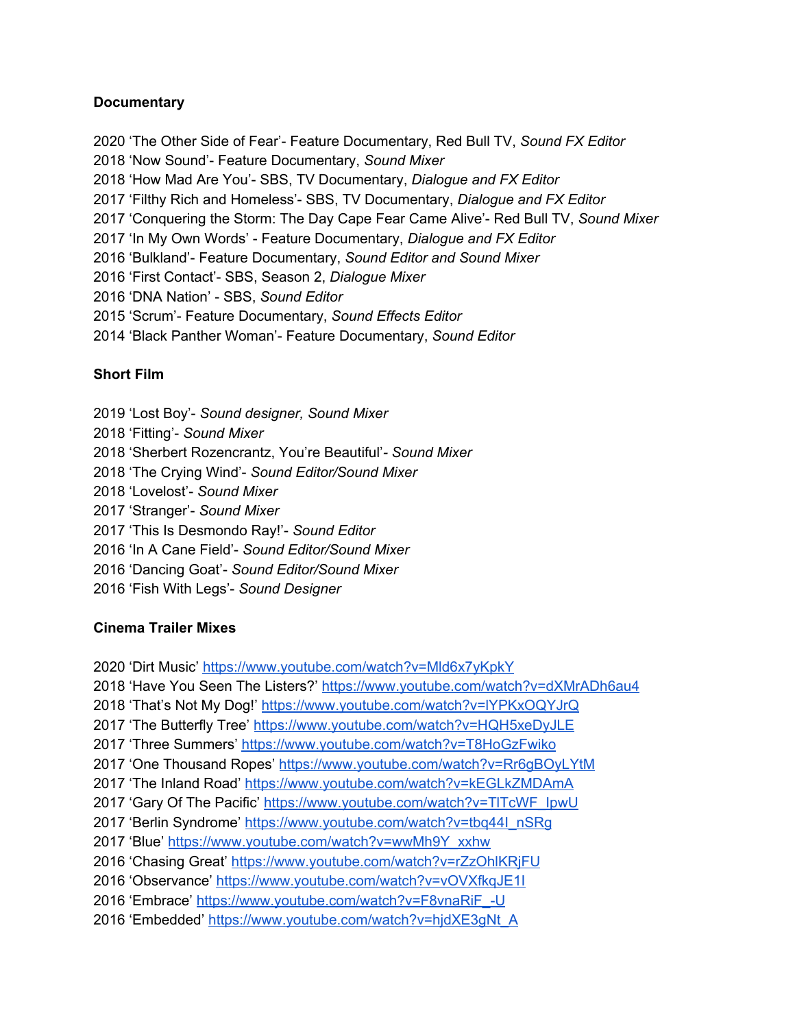# **Documentary**

 'The Other Side of Fear'- Feature Documentary, Red Bull TV, *Sound FX Editor* 'Now Sound'- Feature Documentary, *Sound Mixer* 'How Mad Are You'- SBS, TV Documentary, *Dialogue and FX Editor* 'Filthy Rich and Homeless'- SBS, TV Documentary, *Dialogue and FX Editor* 'Conquering the Storm: The Day Cape Fear Came Alive'- Red Bull TV, *Sound Mixer* 'In My Own Words' - Feature Documentary, *Dialogue and FX Editor* 'Bulkland'- Feature Documentary, *Sound Editor and Sound Mixer* 'First Contact'- SBS, Season 2, *Dialogue Mixer* 'DNA Nation' - SBS, *Sound Editor* 'Scrum'- Feature Documentary, *Sound Effects Editor* 'Black Panther Woman'- Feature Documentary, *Sound Editor*

# **Short Film**

 'Lost Boy'- *Sound designer, Sound Mixer* 'Fitting'- *Sound Mixer* 'Sherbert Rozencrantz, You're Beautiful'*- Sound Mixer* 'The Crying Wind'- *Sound Editor/Sound Mixer* 'Lovelost'- *Sound Mixer* 'Stranger'- *Sound Mixer* 'This Is Desmondo Ray!'- *Sound Editor* 'In A Cane Field'- *Sound Editor/Sound Mixer* 'Dancing Goat'- *Sound Editor/Sound Mixer* 'Fish With Legs'- *Sound Designer*

### **Cinema Trailer Mixes**

 'Dirt Music' <https://www.youtube.com/watch?v=Mld6x7yKpkY> 'Have You Seen The Listers?' <https://www.youtube.com/watch?v=dXMrADh6au4> 'That's Not My Dog!' <https://www.youtube.com/watch?v=lYPKxOQYJrQ> 'The Butterfly Tree' <https://www.youtube.com/watch?v=HQH5xeDyJLE> 'Three Summers' <https://www.youtube.com/watch?v=T8HoGzFwiko> 2017 'One Thousand Ropes' <https://www.youtube.com/watch?v=Rr6gBOyLYtM> 'The Inland Road' <https://www.youtube.com/watch?v=kEGLkZMDAmA> 'Gary Of The Pacific' [https://www.youtube.com/watch?v=TlTcWF\\_IpwU](https://www.youtube.com/watch?v=TlTcWF_IpwU) 'Berlin Syndrome' [https://www.youtube.com/watch?v=tbq44I\\_nSRg](https://www.youtube.com/watch?v=tbq44I_nSRg) 'Blue' [https://www.youtube.com/watch?v=wwMh9Y\\_xxhw](https://www.youtube.com/watch?v=wwMh9Y_xxhw) 2016 'Chasing Great' <https://www.youtube.com/watch?v=rZzOhlKRjFU> 'Observance' <https://www.youtube.com/watch?v=vOVXfkqJE1I> 'Embrace' [https://www.youtube.com/watch?v=F8vnaRiF\\_-U](https://www.youtube.com/watch?v=F8vnaRiF_-U) 2016 'Embedded' [https://www.youtube.com/watch?v=hjdXE3gNt\\_A](https://www.youtube.com/watch?v=hjdXE3gNt_A)